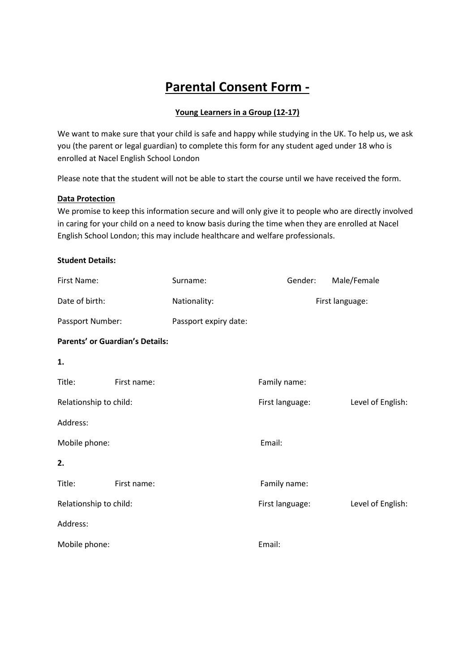# **Parental Consent Form -**

## **Young Learners in a Group (12-17)**

We want to make sure that your child is safe and happy while studying in the UK. To help us, we ask you (the parent or legal guardian) to complete this form for any student aged under 18 who is enrolled at Nacel English School London

Please note that the student will not be able to start the course until we have received the form.

#### **Data Protection**

We promise to keep this information secure and will only give it to people who are directly involved in caring for your child on a need to know basis during the time when they are enrolled at Nacel English School London; this may include healthcare and welfare professionals.

#### **Student Details:**

| First Name:            |                                        | Surname:              | Gender:         | Male/Female       |
|------------------------|----------------------------------------|-----------------------|-----------------|-------------------|
| Date of birth:         |                                        | Nationality:          | First language: |                   |
| Passport Number:       |                                        | Passport expiry date: |                 |                   |
|                        | <b>Parents' or Guardian's Details:</b> |                       |                 |                   |
| 1.                     |                                        |                       |                 |                   |
| Title:                 | First name:                            |                       | Family name:    |                   |
| Relationship to child: |                                        |                       | First language: | Level of English: |
| Address:               |                                        |                       |                 |                   |
| Mobile phone:          |                                        |                       | Email:          |                   |
| 2.                     |                                        |                       |                 |                   |
| Title:                 | First name:                            |                       | Family name:    |                   |
| Relationship to child: |                                        |                       | First language: | Level of English: |
| Address:               |                                        |                       |                 |                   |
| Mobile phone:          |                                        | Email:                |                 |                   |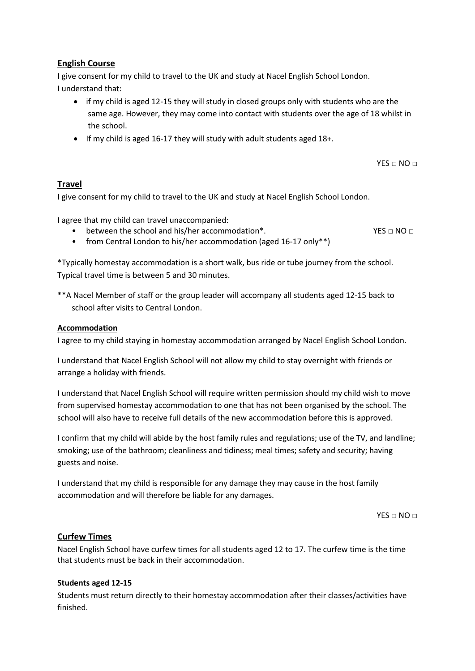# **English Course**

I give consent for my child to travel to the UK and study at Nacel English School London. I understand that:

- if my child is aged 12-15 they will study in closed groups only with students who are the same age. However, they may come into contact with students over the age of 18 whilst in the school.
- If my child is aged 16-17 they will study with adult students aged 18+.

 $YFS \sqcap NO \sqcap$ 

# **Travel**

I give consent for my child to travel to the UK and study at Nacel English School London.

I agree that my child can travel unaccompanied:

• between the school and his/her accommodation\*. YES  $\Box$  NO  $\Box$ 

• from Central London to his/her accommodation (aged 16-17 only\*\*)

\*Typically homestay accommodation is a short walk, bus ride or tube journey from the school. Typical travel time is between 5 and 30 minutes.

\*\*A Nacel Member of staff or the group leader will accompany all students aged 12-15 back to school after visits to Central London.

#### **Accommodation**

I agree to my child staying in homestay accommodation arranged by Nacel English School London.

I understand that Nacel English School will not allow my child to stay overnight with friends or arrange a holiday with friends.

I understand that Nacel English School will require written permission should my child wish to move from supervised homestay accommodation to one that has not been organised by the school. The school will also have to receive full details of the new accommodation before this is approved.

I confirm that my child will abide by the host family rules and regulations; use of the TV, and landline; smoking; use of the bathroom; cleanliness and tidiness; meal times; safety and security; having guests and noise.

I understand that my child is responsible for any damage they may cause in the host family accommodation and will therefore be liable for any damages.

 $YES \Box NO \Box$ 

## **Curfew Times**

Nacel English School have curfew times for all students aged 12 to 17. The curfew time is the time that students must be back in their accommodation.

## **Students aged 12-15**

Students must return directly to their homestay accommodation after their classes/activities have finished.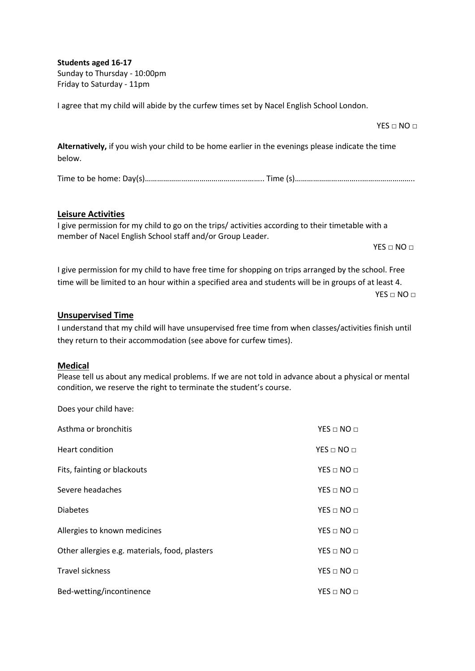**Students aged 16-17** Sunday to Thursday - 10:00pm Friday to Saturday - 11pm

I agree that my child will abide by the curfew times set by Nacel English School London.

**Alternatively,** if you wish your child to be home earlier in the evenings please indicate the time below.

Time to be home: Day(s)………………………………………………….. Time (s)…………………………...……………………..

#### **Leisure Activities**

I give permission for my child to go on the trips/ activities according to their timetable with a member of Nacel English School staff and/or Group Leader.

 $YES \Box NO \Box$ 

 $YES \Box NO \Box$ 

I give permission for my child to have free time for shopping on trips arranged by the school. Free time will be limited to an hour within a specified area and students will be in groups of at least 4.

 $YES \Box NO \Box$ 

#### **Unsupervised Time**

I understand that my child will have unsupervised free time from when classes/activities finish until they return to their accommodation (see above for curfew times).

#### **Medical**

Please tell us about any medical problems. If we are not told in advance about a physical or mental condition, we reserve the right to terminate the student's course.

Does your child have:

| Asthma or bronchitis                           | $YES \sqcap NO \sqcap$   |
|------------------------------------------------|--------------------------|
| Heart condition                                | $YES \Box NO \Box$       |
| Fits, fainting or blackouts                    | $YES \Box NO \Box$       |
| Severe headaches                               | $YES \Box NO \Box$       |
| <b>Diabetes</b>                                | $YES \Box NO \Box$       |
| Allergies to known medicines                   | $YES \sqcap NO \sqcap$   |
| Other allergies e.g. materials, food, plasters | $YES \square NO \square$ |
| <b>Travel sickness</b>                         | $YES \sqcap NO \sqcap$   |
| Bed-wetting/incontinence                       | $YES \sqcap NO \sqcap$   |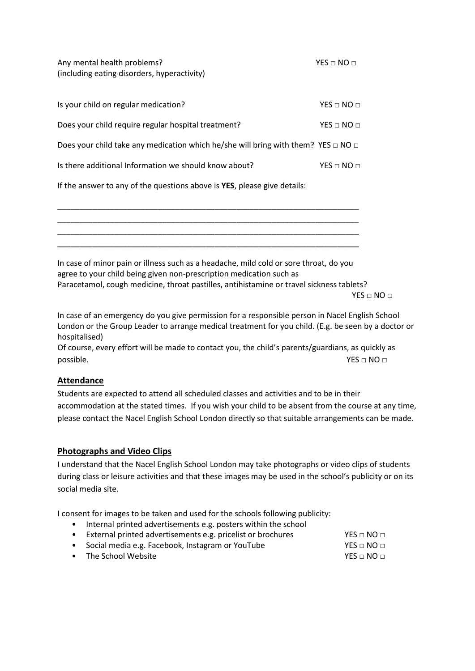Any mental health problems? YES □ NO □ (including eating disorders, hyperactivity)

| Is your child on regular medication?                                                        | $YES \Box NO \Box$     |
|---------------------------------------------------------------------------------------------|------------------------|
| Does your child require regular hospital treatment?                                         | $YES \Box NO \Box$     |
| Does your child take any medication which he/she will bring with them? YES $\Box$ NO $\Box$ |                        |
| Is there additional Information we should know about?                                       | $YES \sqcap NO \sqcap$ |

If the answer to any of the questions above is **YES**, please give details:



In case of minor pain or illness such as a headache, mild cold or sore throat, do you agree to your child being given non-prescription medication such as Paracetamol, cough medicine, throat pastilles, antihistamine or travel sickness tablets?  $YES \sqcap NO \sqcap$ 

In case of an emergency do you give permission for a responsible person in Nacel English School London or the Group Leader to arrange medical treatment for you child. (E.g. be seen by a doctor or hospitalised)

Of course, every effort will be made to contact you, the child's parents/guardians, as quickly as possible. YES □ NO □

# **Attendance**

Students are expected to attend all scheduled classes and activities and to be in their accommodation at the stated times. If you wish your child to be absent from the course at any time, please contact the Nacel English School London directly so that suitable arrangements can be made.

# **Photographs and Video Clips**

I understand that the Nacel English School London may take photographs or video clips of students during class or leisure activities and that these images may be used in the school's publicity or on its social media site.

I consent for images to be taken and used for the schools following publicity:

• Internal printed advertisements e.g. posters within the school

|  | External printed advertisements e.g. pricelist or brochures | $YES \square NO \square$ |
|--|-------------------------------------------------------------|--------------------------|
|--|-------------------------------------------------------------|--------------------------|

- Social media e.g. Facebook, Instagram or YouTube YES □ NO □
- The School Website YES □ NO □